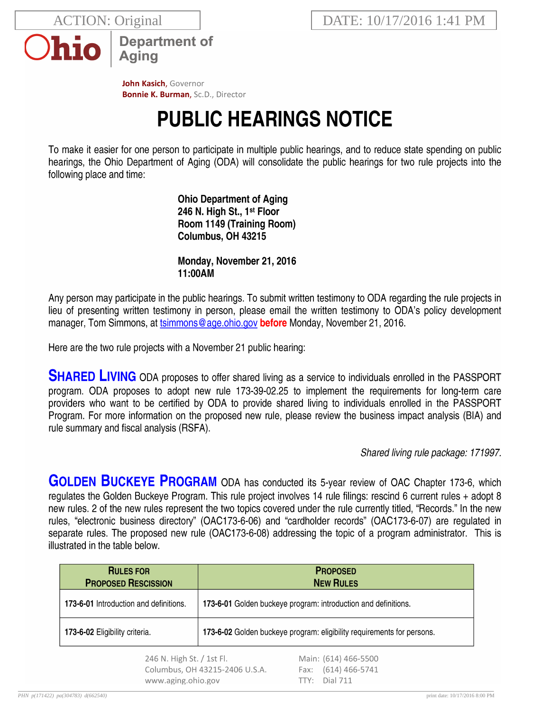

**Department of Aging** 

John Kasich, Governor **Bonnie K. Burman, Sc.D., Director** 

## **PUBLIC HEARINGS NOTICE**

To make it easier for one person to participate in multiple public hearings, and to reduce state spending on public hearings, the Ohio Department of Aging (ODA) will consolidate the public hearings for two rule projects into the following place and time:

> **Ohio Department of Aging** 246 N. High St., 1<sup>st</sup> Floor Room 1149 (Training Room) Columbus, OH 43215

> Monday, November 21, 2016 11:00AM

Any person may participate in the public hearings. To submit written testimony to ODA regarding the rule projects in lieu of presenting written testimony in person, please email the written testimony to ODA's policy development manager, Tom Simmons, at tsimmons@age.ohio.gov before Monday, November 21, 2016.

Here are the two rule projects with a November 21 public hearing:

**SHARED LIVING** ODA proposes to offer shared living as a service to individuals enrolled in the PASSPORT program. ODA proposes to adopt new rule 173-39-02.25 to implement the requirements for long-term care providers who want to be certified by ODA to provide shared living to individuals enrolled in the PASSPORT Program. For more information on the proposed new rule, please review the business impact analysis (BIA) and rule summary and fiscal analysis (RSFA).

Shared living rule package: 171997.

**GOLDEN BUCKEYE PROGRAM** ODA has conducted its 5-year review of OAC Chapter 173-6, which regulates the Golden Buckeye Program. This rule project involves 14 rule filings: rescind 6 current rules + adopt 8 new rules. 2 of the new rules represent the two topics covered under the rule currently titled, "Records." In the new rules, "electronic business directory" (OAC173-6-06) and "cardholder records" (OAC173-6-07) are regulated in separate rules. The proposed new rule (OAC173-6-08) addressing the topic of a program administrator. This is illustrated in the table below.

| <b>RULES FOR</b><br><b>PROPOSED RESCISSION</b>                                    |  | <b>PROPOSED</b><br><b>NEW RULES</b>                                         |
|-----------------------------------------------------------------------------------|--|-----------------------------------------------------------------------------|
| <b>173-6-01</b> Introduction and definitions.                                     |  | 173-6-01 Golden buckeye program: introduction and definitions.              |
| 173-6-02 Eligibility criteria.                                                    |  | 173-6-02 Golden buckeye program: eligibility requirements for persons.      |
| 246 N. High St. / 1st Fl.<br>Columbus, OH 43215-2406 U.S.A.<br>www.aging.ohio.gov |  | Main: (614) 466-5500<br>$(614)$ 466-5741<br>Fax:<br><b>Dial 711</b><br>TTY: |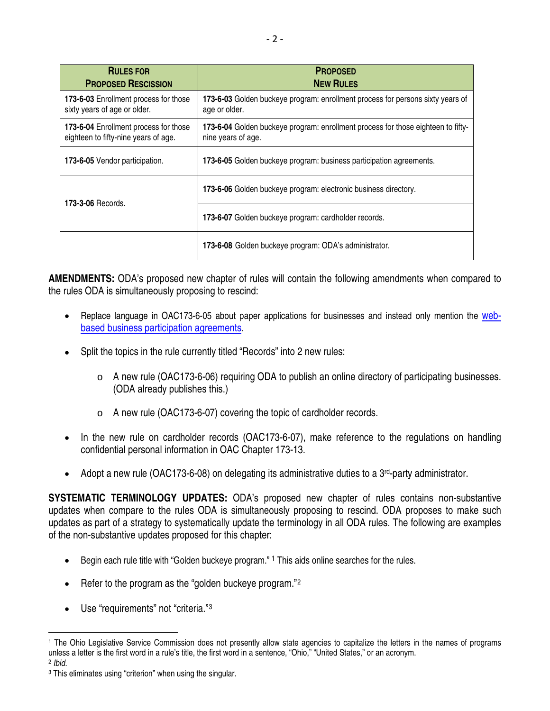| <b>RULES FOR</b><br><b>PROPOSED RESCISSION</b>                                | <b>PROPOSED</b><br><b>NEW RULES</b>                                                                    |  |
|-------------------------------------------------------------------------------|--------------------------------------------------------------------------------------------------------|--|
| 173-6-03 Enrollment process for those<br>sixty years of age or older.         | 173-6-03 Golden buckeye program: enrollment process for persons sixty years of<br>age or older.        |  |
| 173-6-04 Enrollment process for those<br>eighteen to fifty-nine years of age. | 173-6-04 Golden buckeye program: enrollment process for those eighteen to fifty-<br>nine years of age. |  |
| <b>173-6-05</b> Vendor participation.                                         | 173-6-05 Golden buckeye program: business participation agreements.                                    |  |
| <b>173-3-06 Records.</b>                                                      | 173-6-06 Golden buckeye program: electronic business directory.                                        |  |
|                                                                               | 173-6-07 Golden buckeye program: cardholder records.                                                   |  |
|                                                                               | 173-6-08 Golden buckeye program: ODA's administrator.                                                  |  |

**AMENDMENTS:** ODA's proposed new chapter of rules will contain the following amendments when compared to the rules ODA is simultaneously proposing to rescind:

- Replace language in OAC173-6-05 about paper applications for businesses and instead only mention the [web](http://aging.test.ohio.gov/gbenroll/enroll/enrollmerchant.aspx)[based business participation agreements](http://aging.test.ohio.gov/gbenroll/enroll/enrollmerchant.aspx).
- Split the topics in the rule currently titled "Records" into 2 new rules:
	- $\circ$  A new rule (OAC173-6-06) requiring ODA to publish an online directory of participating businesses. (ODA already publishes this.)
	- o A new rule (OAC173-6-07) covering the topic of cardholder records.
- In the new rule on cardholder records (OAC173-6-07), make reference to the regulations on handling confidential personal information in OAC Chapter 173-13.
- Adopt a new rule (OAC173-6-08) on delegating its administrative duties to a 3<sup>rd</sup>-party administrator.

**SYSTEMATIC TERMINOLOGY UPDATES:** ODA's proposed new chapter of rules contains non-substantive updates when compare to the rules ODA is simultaneously proposing to rescind. ODA proposes to make such updates as part of a strategy to systematically update the terminology in all ODA rules. The following are examples of the non-substantive updates proposed for this chapter:

- Begin each rule title with "Golden buckeye program." <sup>[1](#page-1-0)</sup> This aids online searches for the rules.
- Refer to the program as the "golden buckeye program."<sup>[2](#page-1-1)</sup>
- Use "requirements" not "criteria."[3](#page-1-2)

 $\overline{a}$ 

<span id="page-1-0"></span><sup>1</sup> The Ohio Legislative Service Commission does not presently allow state agencies to capitalize the letters in the names of programs unless a letter is the first word in a rule's title, the first word in a sentence, "Ohio," "United States," or an acronym.

<span id="page-1-1"></span><sup>2</sup> *Ibid.*

<span id="page-1-2"></span><sup>&</sup>lt;sup>3</sup> This eliminates using "criterion" when using the singular.